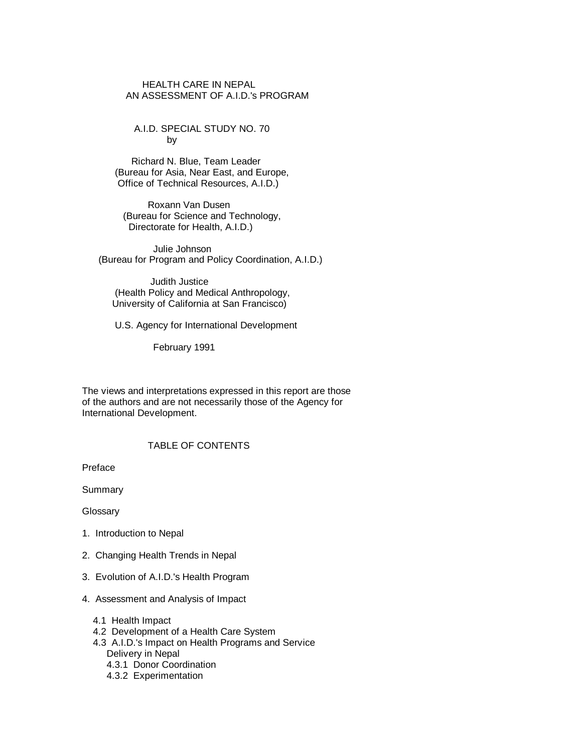# HEALTH CARE IN NEPAL AN ASSESSMENT OF A.I.D.'s PROGRAM

 A.I.D. SPECIAL STUDY NO. 70 by

 Richard N. Blue, Team Leader (Bureau for Asia, Near East, and Europe, Office of Technical Resources, A.I.D.)

 Roxann Van Dusen (Bureau for Science and Technology, Directorate for Health, A.I.D.)

 Julie Johnson (Bureau for Program and Policy Coordination, A.I.D.)

 Judith Justice (Health Policy and Medical Anthropology, University of California at San Francisco)

U.S. Agency for International Development

February 1991

 The views and interpretations expressed in this report are those of the authors and are not necessarily those of the Agency for International Development.

# TABLE OF CONTENTS

Preface

**Summary** 

Glossary

- 1. Introduction to Nepal
- 2. Changing Health Trends in Nepal
- 3. Evolution of A.I.D.'s Health Program
- 4. Assessment and Analysis of Impact
	- 4.1 Health Impact
	- 4.2 Development of a Health Care System
	- 4.3 A.I.D.'s Impact on Health Programs and Service Delivery in Nepal
		- 4.3.1 Donor Coordination
		- 4.3.2 Experimentation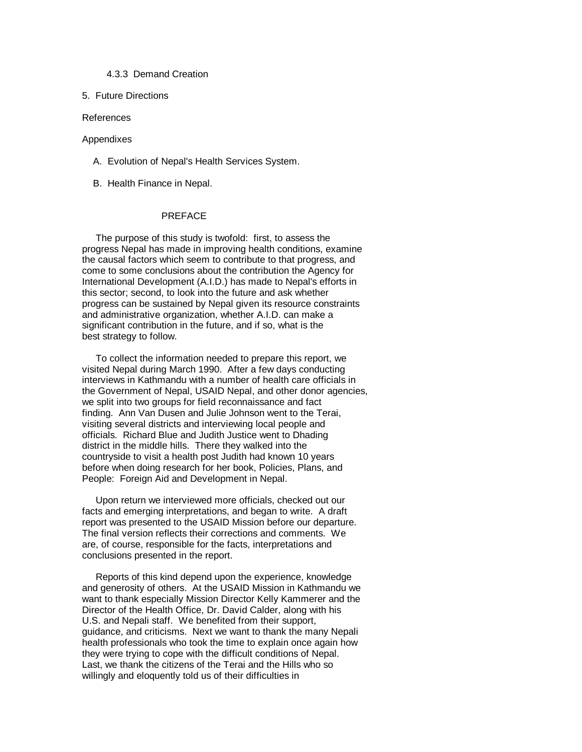#### 4.3.3 Demand Creation

#### 5. Future Directions

#### References

#### Appendixes

- A. Evolution of Nepal's Health Services System.
- B. Health Finance in Nepal.

#### PREFACE

 The purpose of this study is twofold: first, to assess the progress Nepal has made in improving health conditions, examine the causal factors which seem to contribute to that progress, and come to some conclusions about the contribution the Agency for International Development (A.I.D.) has made to Nepal's efforts in this sector; second, to look into the future and ask whether progress can be sustained by Nepal given its resource constraints and administrative organization, whether A.I.D. can make a significant contribution in the future, and if so, what is the best strategy to follow.

 To collect the information needed to prepare this report, we visited Nepal during March 1990. After a few days conducting interviews in Kathmandu with a number of health care officials in the Government of Nepal, USAID Nepal, and other donor agencies, we split into two groups for field reconnaissance and fact finding. Ann Van Dusen and Julie Johnson went to the Terai, visiting several districts and interviewing local people and officials. Richard Blue and Judith Justice went to Dhading district in the middle hills. There they walked into the countryside to visit a health post Judith had known 10 years before when doing research for her book, Policies, Plans, and People: Foreign Aid and Development in Nepal.

 Upon return we interviewed more officials, checked out our facts and emerging interpretations, and began to write. A draft report was presented to the USAID Mission before our departure. The final version reflects their corrections and comments. We are, of course, responsible for the facts, interpretations and conclusions presented in the report.

 Reports of this kind depend upon the experience, knowledge and generosity of others. At the USAID Mission in Kathmandu we want to thank especially Mission Director Kelly Kammerer and the Director of the Health Office, Dr. David Calder, along with his U.S. and Nepali staff. We benefited from their support, guidance, and criticisms. Next we want to thank the many Nepali health professionals who took the time to explain once again how they were trying to cope with the difficult conditions of Nepal. Last, we thank the citizens of the Terai and the Hills who so willingly and eloquently told us of their difficulties in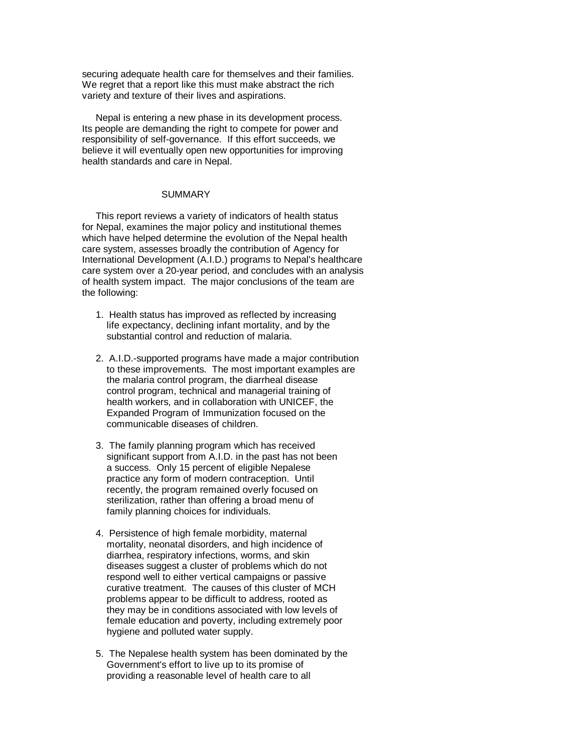securing adequate health care for themselves and their families. We regret that a report like this must make abstract the rich variety and texture of their lives and aspirations.

 Nepal is entering a new phase in its development process. Its people are demanding the right to compete for power and responsibility of self-governance. If this effort succeeds, we believe it will eventually open new opportunities for improving health standards and care in Nepal.

#### **SUMMARY**

 This report reviews a variety of indicators of health status for Nepal, examines the major policy and institutional themes which have helped determine the evolution of the Nepal health care system, assesses broadly the contribution of Agency for International Development (A.I.D.) programs to Nepal's healthcare care system over a 20-year period, and concludes with an analysis of health system impact. The major conclusions of the team are the following:

- 1. Health status has improved as reflected by increasing life expectancy, declining infant mortality, and by the substantial control and reduction of malaria.
- 2. A.I.D.-supported programs have made a major contribution to these improvements. The most important examples are the malaria control program, the diarrheal disease control program, technical and managerial training of health workers, and in collaboration with UNICEF, the Expanded Program of Immunization focused on the communicable diseases of children.
- 3. The family planning program which has received significant support from A.I.D. in the past has not been a success. Only 15 percent of eligible Nepalese practice any form of modern contraception. Until recently, the program remained overly focused on sterilization, rather than offering a broad menu of family planning choices for individuals.
- 4. Persistence of high female morbidity, maternal mortality, neonatal disorders, and high incidence of diarrhea, respiratory infections, worms, and skin diseases suggest a cluster of problems which do not respond well to either vertical campaigns or passive curative treatment. The causes of this cluster of MCH problems appear to be difficult to address, rooted as they may be in conditions associated with low levels of female education and poverty, including extremely poor hygiene and polluted water supply.
- 5. The Nepalese health system has been dominated by the Government's effort to live up to its promise of providing a reasonable level of health care to all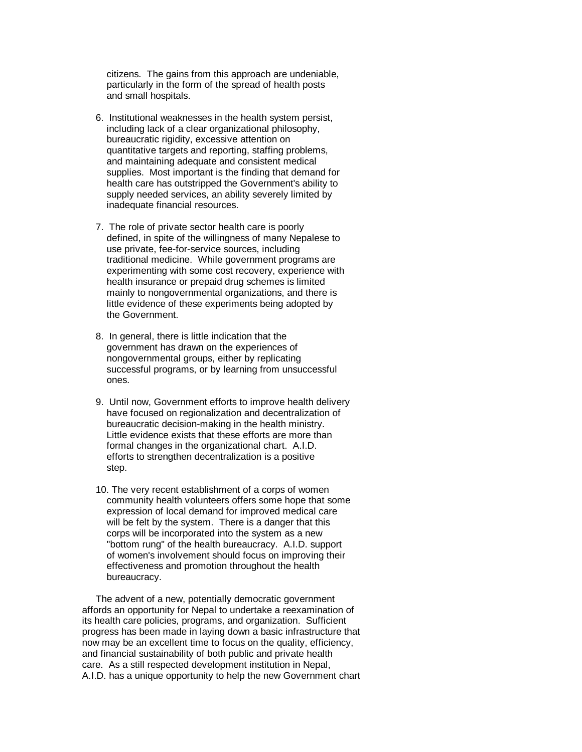citizens. The gains from this approach are undeniable, particularly in the form of the spread of health posts and small hospitals.

- 6. Institutional weaknesses in the health system persist, including lack of a clear organizational philosophy, bureaucratic rigidity, excessive attention on quantitative targets and reporting, staffing problems, and maintaining adequate and consistent medical supplies. Most important is the finding that demand for health care has outstripped the Government's ability to supply needed services, an ability severely limited by inadequate financial resources.
- 7. The role of private sector health care is poorly defined, in spite of the willingness of many Nepalese to use private, fee-for-service sources, including traditional medicine. While government programs are experimenting with some cost recovery, experience with health insurance or prepaid drug schemes is limited mainly to nongovernmental organizations, and there is little evidence of these experiments being adopted by the Government.
- 8. In general, there is little indication that the government has drawn on the experiences of nongovernmental groups, either by replicating successful programs, or by learning from unsuccessful ones.
- 9. Until now, Government efforts to improve health delivery have focused on regionalization and decentralization of bureaucratic decision-making in the health ministry. Little evidence exists that these efforts are more than formal changes in the organizational chart. A.I.D. efforts to strengthen decentralization is a positive step.
- 10. The very recent establishment of a corps of women community health volunteers offers some hope that some expression of local demand for improved medical care will be felt by the system. There is a danger that this corps will be incorporated into the system as a new "bottom rung" of the health bureaucracy. A.I.D. support of women's involvement should focus on improving their effectiveness and promotion throughout the health bureaucracy.

 The advent of a new, potentially democratic government affords an opportunity for Nepal to undertake a reexamination of its health care policies, programs, and organization. Sufficient progress has been made in laying down a basic infrastructure that now may be an excellent time to focus on the quality, efficiency, and financial sustainability of both public and private health care. As a still respected development institution in Nepal, A.I.D. has a unique opportunity to help the new Government chart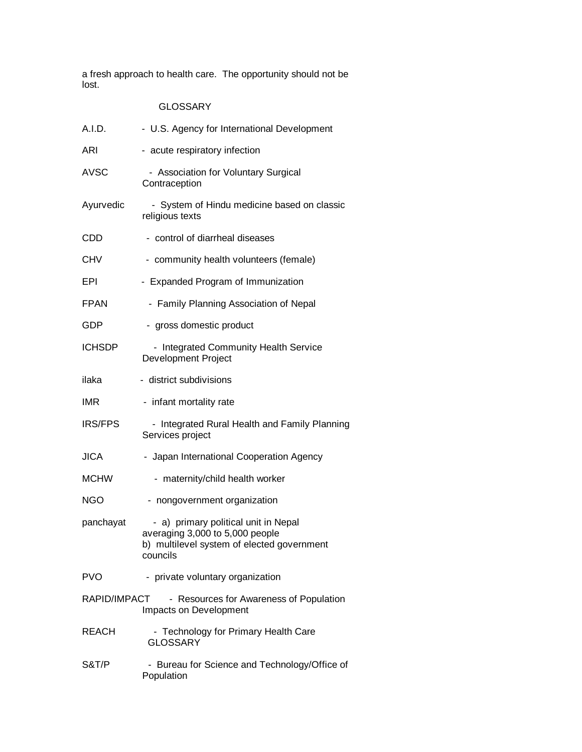a fresh approach to health care. The opportunity should not be lost.

# GLOSSARY

| A.I.D.         | - U.S. Agency for International Development                                                                                       |
|----------------|-----------------------------------------------------------------------------------------------------------------------------------|
| <b>ARI</b>     | - acute respiratory infection                                                                                                     |
| <b>AVSC</b>    | - Association for Voluntary Surgical<br>Contraception                                                                             |
| Ayurvedic      | - System of Hindu medicine based on classic<br>religious texts                                                                    |
| CDD            | - control of diarrheal diseases                                                                                                   |
| CHV            | - community health volunteers (female)                                                                                            |
| <b>EPI</b>     | - Expanded Program of Immunization                                                                                                |
| <b>FPAN</b>    | - Family Planning Association of Nepal                                                                                            |
| GDP            | - gross domestic product                                                                                                          |
| <b>ICHSDP</b>  | - Integrated Community Health Service<br><b>Development Project</b>                                                               |
| ilaka          | - district subdivisions                                                                                                           |
| <b>IMR</b>     | - infant mortality rate                                                                                                           |
| <b>IRS/FPS</b> | - Integrated Rural Health and Family Planning<br>Services project                                                                 |
| <b>JICA</b>    | - Japan International Cooperation Agency                                                                                          |
| <b>MCHW</b>    | - maternity/child health worker                                                                                                   |
| <b>NGO</b>     | - nongovernment organization                                                                                                      |
| panchayat      | - a) primary political unit in Nepal<br>averaging 3,000 to 5,000 people<br>b) multilevel system of elected government<br>councils |
| <b>PVO</b>     | - private voluntary organization                                                                                                  |
| RAPID/IMPACT   | - Resources for Awareness of Population<br>Impacts on Development                                                                 |
| <b>REACH</b>   | - Technology for Primary Health Care<br><b>GLOSSARY</b>                                                                           |
| S&T/P          | - Bureau for Science and Technology/Office of<br>Population                                                                       |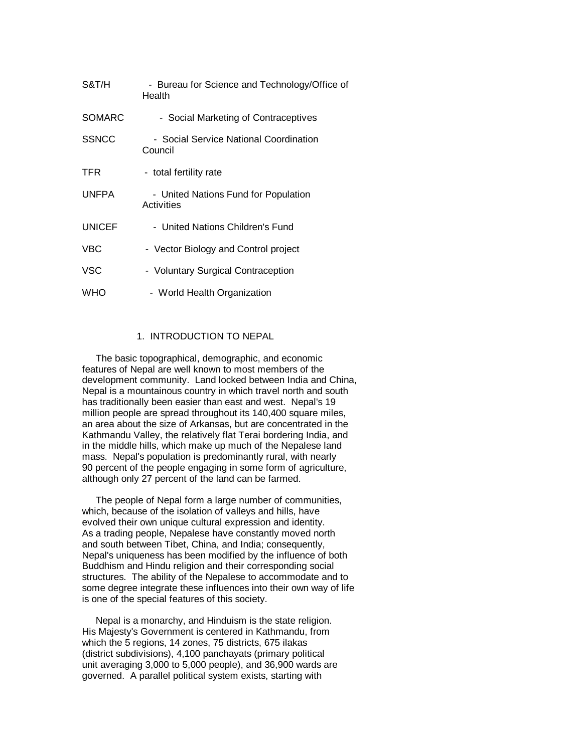| S&T/H         | - Bureau for Science and Technology/Office of<br>Health |
|---------------|---------------------------------------------------------|
| <b>SOMARC</b> | - Social Marketing of Contraceptives                    |
| <b>SSNCC</b>  | - Social Service National Coordination<br>Council       |
| <b>TFR</b>    | - total fertility rate                                  |
| <b>UNFPA</b>  | - United Nations Fund for Population<br>Activities      |
| <b>UNICEF</b> | - United Nations Children's Fund                        |
| VBC           | - Vector Biology and Control project                    |
| VSC           | - Voluntary Surgical Contraception                      |
| WHO           | - World Health Organization                             |

### 1. INTRODUCTION TO NEPAL

 The basic topographical, demographic, and economic features of Nepal are well known to most members of the development community. Land locked between India and China, Nepal is a mountainous country in which travel north and south has traditionally been easier than east and west. Nepal's 19 million people are spread throughout its 140,400 square miles, an area about the size of Arkansas, but are concentrated in the Kathmandu Valley, the relatively flat Terai bordering India, and in the middle hills, which make up much of the Nepalese land mass. Nepal's population is predominantly rural, with nearly 90 percent of the people engaging in some form of agriculture, although only 27 percent of the land can be farmed.

 The people of Nepal form a large number of communities, which, because of the isolation of valleys and hills, have evolved their own unique cultural expression and identity. As a trading people, Nepalese have constantly moved north and south between Tibet, China, and India; consequently, Nepal's uniqueness has been modified by the influence of both Buddhism and Hindu religion and their corresponding social structures. The ability of the Nepalese to accommodate and to some degree integrate these influences into their own way of life is one of the special features of this society.

 Nepal is a monarchy, and Hinduism is the state religion. His Majesty's Government is centered in Kathmandu, from which the 5 regions, 14 zones, 75 districts, 675 ilakas (district subdivisions), 4,100 panchayats (primary political unit averaging 3,000 to 5,000 people), and 36,900 wards are governed. A parallel political system exists, starting with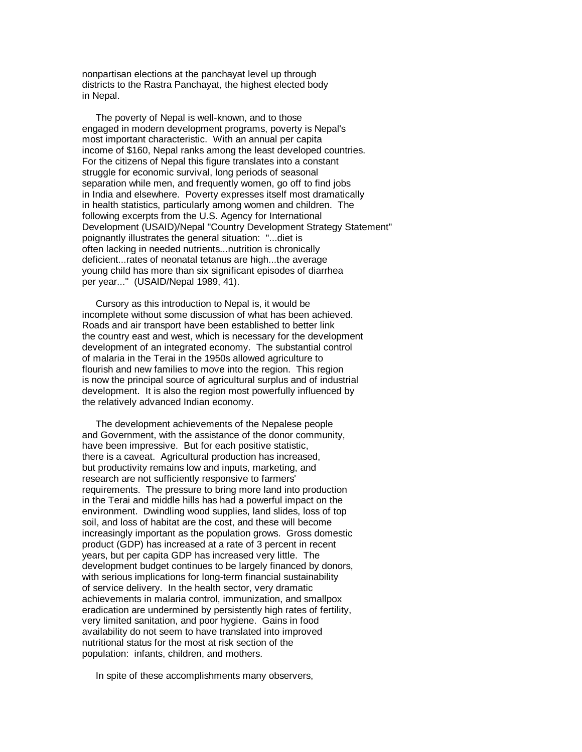nonpartisan elections at the panchayat level up through districts to the Rastra Panchayat, the highest elected body in Nepal.

 The poverty of Nepal is well-known, and to those engaged in modern development programs, poverty is Nepal's most important characteristic. With an annual per capita income of \$160, Nepal ranks among the least developed countries. For the citizens of Nepal this figure translates into a constant struggle for economic survival, long periods of seasonal separation while men, and frequently women, go off to find jobs in India and elsewhere. Poverty expresses itself most dramatically in health statistics, particularly among women and children. The following excerpts from the U.S. Agency for International Development (USAID)/Nepal "Country Development Strategy Statement" poignantly illustrates the general situation: "...diet is often lacking in needed nutrients...nutrition is chronically deficient...rates of neonatal tetanus are high...the average young child has more than six significant episodes of diarrhea per year..." (USAID/Nepal 1989, 41).

 Cursory as this introduction to Nepal is, it would be incomplete without some discussion of what has been achieved. Roads and air transport have been established to better link the country east and west, which is necessary for the development development of an integrated economy. The substantial control of malaria in the Terai in the 1950s allowed agriculture to flourish and new families to move into the region. This region is now the principal source of agricultural surplus and of industrial development. It is also the region most powerfully influenced by the relatively advanced Indian economy.

 The development achievements of the Nepalese people and Government, with the assistance of the donor community, have been impressive. But for each positive statistic, there is a caveat. Agricultural production has increased, but productivity remains low and inputs, marketing, and research are not sufficiently responsive to farmers' requirements. The pressure to bring more land into production in the Terai and middle hills has had a powerful impact on the environment. Dwindling wood supplies, land slides, loss of top soil, and loss of habitat are the cost, and these will become increasingly important as the population grows. Gross domestic product (GDP) has increased at a rate of 3 percent in recent years, but per capita GDP has increased very little. The development budget continues to be largely financed by donors, with serious implications for long-term financial sustainability of service delivery. In the health sector, very dramatic achievements in malaria control, immunization, and smallpox eradication are undermined by persistently high rates of fertility, very limited sanitation, and poor hygiene. Gains in food availability do not seem to have translated into improved nutritional status for the most at risk section of the population: infants, children, and mothers.

In spite of these accomplishments many observers,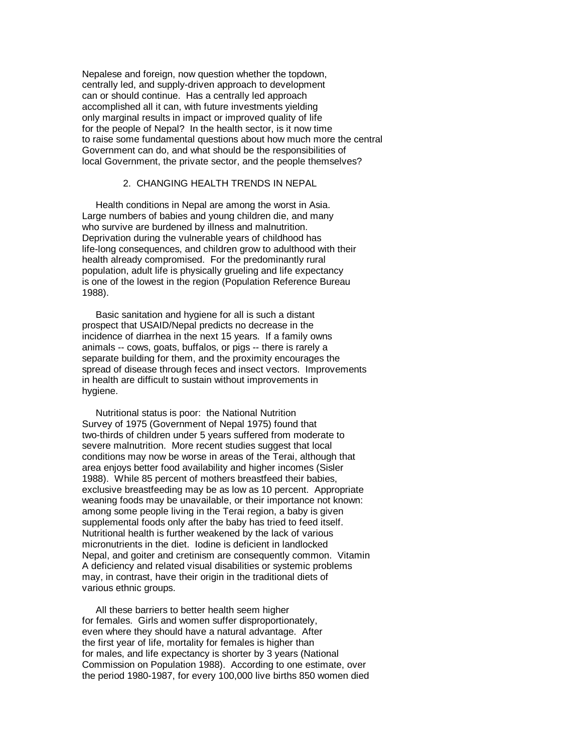Nepalese and foreign, now question whether the topdown, centrally led, and supply-driven approach to development can or should continue. Has a centrally led approach accomplished all it can, with future investments yielding only marginal results in impact or improved quality of life for the people of Nepal? In the health sector, is it now time to raise some fundamental questions about how much more the central Government can do, and what should be the responsibilities of local Government, the private sector, and the people themselves?

# 2. CHANGING HEALTH TRENDS IN NEPAL

 Health conditions in Nepal are among the worst in Asia. Large numbers of babies and young children die, and many who survive are burdened by illness and malnutrition. Deprivation during the vulnerable years of childhood has life-long consequences, and children grow to adulthood with their health already compromised. For the predominantly rural population, adult life is physically grueling and life expectancy is one of the lowest in the region (Population Reference Bureau 1988).

 Basic sanitation and hygiene for all is such a distant prospect that USAID/Nepal predicts no decrease in the incidence of diarrhea in the next 15 years. If a family owns animals -- cows, goats, buffalos, or pigs -- there is rarely a separate building for them, and the proximity encourages the spread of disease through feces and insect vectors. Improvements in health are difficult to sustain without improvements in hygiene.

 Nutritional status is poor: the National Nutrition Survey of 1975 (Government of Nepal 1975) found that two-thirds of children under 5 years suffered from moderate to severe malnutrition. More recent studies suggest that local conditions may now be worse in areas of the Terai, although that area enjoys better food availability and higher incomes (Sisler 1988). While 85 percent of mothers breastfeed their babies, exclusive breastfeeding may be as low as 10 percent. Appropriate weaning foods may be unavailable, or their importance not known: among some people living in the Terai region, a baby is given supplemental foods only after the baby has tried to feed itself. Nutritional health is further weakened by the lack of various micronutrients in the diet. Iodine is deficient in landlocked Nepal, and goiter and cretinism are consequently common. Vitamin A deficiency and related visual disabilities or systemic problems may, in contrast, have their origin in the traditional diets of various ethnic groups.

 All these barriers to better health seem higher for females. Girls and women suffer disproportionately, even where they should have a natural advantage. After the first year of life, mortality for females is higher than for males, and life expectancy is shorter by 3 years (National Commission on Population 1988). According to one estimate, over the period 1980-1987, for every 100,000 live births 850 women died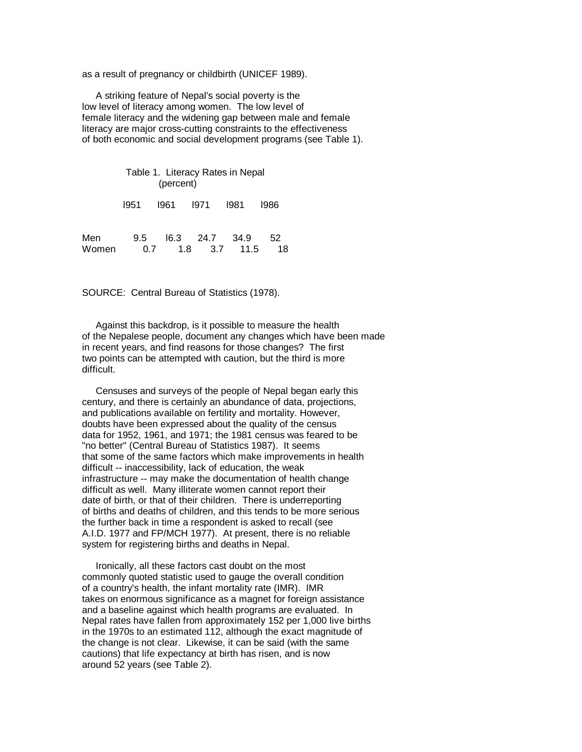as a result of pregnancy or childbirth (UNICEF 1989).

 A striking feature of Nepal's social poverty is the low level of literacy among women. The low level of female literacy and the widening gap between male and female literacy are major cross-cutting constraints to the effectiveness of both economic and social development programs (see Table 1).

 Table 1. Literacy Rates in Nepal (percent) l951 l961 l971 l981 l986 Men 9.5 l6.3 24.7 34.9 52 Women 0.7 1.8 3.7 11.5 18

SOURCE: Central Bureau of Statistics (1978).

 Against this backdrop, is it possible to measure the health of the Nepalese people, document any changes which have been made in recent years, and find reasons for those changes? The first two points can be attempted with caution, but the third is more difficult.

 Censuses and surveys of the people of Nepal began early this century, and there is certainly an abundance of data, projections, and publications available on fertility and mortality. However, doubts have been expressed about the quality of the census data for 1952, 1961, and 1971; the 1981 census was feared to be "no better" (Central Bureau of Statistics 1987). It seems that some of the same factors which make improvements in health difficult -- inaccessibility, lack of education, the weak infrastructure -- may make the documentation of health change difficult as well. Many illiterate women cannot report their date of birth, or that of their children. There is underreporting of births and deaths of children, and this tends to be more serious the further back in time a respondent is asked to recall (see A.I.D. 1977 and FP/MCH 1977). At present, there is no reliable system for registering births and deaths in Nepal.

 Ironically, all these factors cast doubt on the most commonly quoted statistic used to gauge the overall condition of a country's health, the infant mortality rate (IMR). IMR takes on enormous significance as a magnet for foreign assistance and a baseline against which health programs are evaluated. In Nepal rates have fallen from approximately 152 per 1,000 live births in the 1970s to an estimated 112, although the exact magnitude of the change is not clear. Likewise, it can be said (with the same cautions) that life expectancy at birth has risen, and is now around 52 years (see Table 2).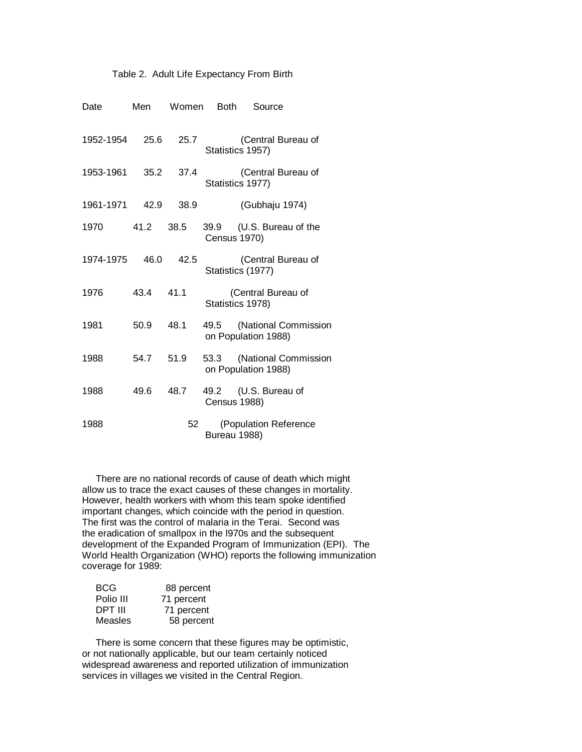# Table 2. Adult Life Expectancy From Birth

| Date           | Men  | Women | <b>Both</b>         | Source                                           |
|----------------|------|-------|---------------------|--------------------------------------------------|
| 1952-1954      | 25.6 | 25.7  |                     | (Central Bureau of<br>Statistics 1957)           |
| 1953-1961      | 35.2 | 37.4  |                     | (Central Bureau of<br>Statistics 1977)           |
| 1961-1971 42.9 |      | 38.9  |                     | (Gubhaju 1974)                                   |
| 1970           | 41.2 | 38.5  | <b>Census 1970)</b> | 39.9 (U.S. Bureau of the                         |
| 1974-1975 46.0 |      | 42.5  |                     | (Central Bureau of<br>Statistics (1977)          |
| 1976           | 43.4 | 41.1  |                     | (Central Bureau of<br>Statistics 1978)           |
| 1981           | 50.9 | 48.1  |                     | 49.5 (National Commission<br>on Population 1988) |
| 1988           | 54.7 | 51.9  |                     | 53.3 (National Commission<br>on Population 1988) |
| 1988           | 49.6 | 48.7  | <b>Census 1988)</b> | 49.2 (U.S. Bureau of                             |
| 1988           |      | 52    | Bureau 1988)        | (Population Reference                            |

 There are no national records of cause of death which might allow us to trace the exact causes of these changes in mortality. However, health workers with whom this team spoke identified important changes, which coincide with the period in question. The first was the control of malaria in the Terai. Second was the eradication of smallpox in the l970s and the subsequent development of the Expanded Program of Immunization (EPI). The World Health Organization (WHO) reports the following immunization coverage for 1989:

| <b>BCG</b> | 88 percent |
|------------|------------|
| Polio III  | 71 percent |
| DPT III    | 71 percent |
| Measles    | 58 percent |

 There is some concern that these figures may be optimistic, or not nationally applicable, but our team certainly noticed widespread awareness and reported utilization of immunization services in villages we visited in the Central Region.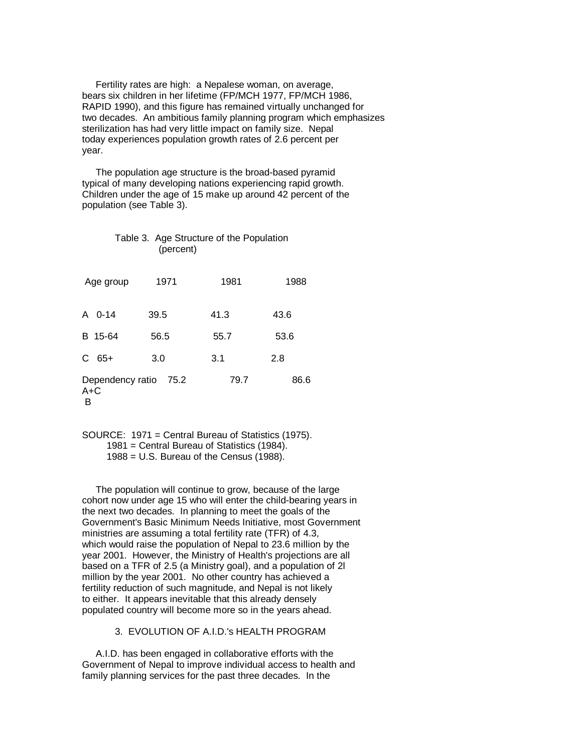Fertility rates are high: a Nepalese woman, on average, bears six children in her lifetime (FP/MCH 1977, FP/MCH 1986, RAPID 1990), and this figure has remained virtually unchanged for two decades. An ambitious family planning program which emphasizes sterilization has had very little impact on family size. Nepal today experiences population growth rates of 2.6 percent per year.

 The population age structure is the broad-based pyramid typical of many developing nations experiencing rapid growth. Children under the age of 15 make up around 42 percent of the population (see Table 3).

| Table 3. Age Structure of the Population<br>(percent) |      |      |      |  |  |  |  |
|-------------------------------------------------------|------|------|------|--|--|--|--|
| Age group                                             | 1971 | 1981 | 1988 |  |  |  |  |
| A 0-14                                                | 39.5 | 41.3 | 43.6 |  |  |  |  |
| B 15-64                                               | 56.5 | 55.7 | 53.6 |  |  |  |  |
| $C$ 65+                                               | 3.0  | 3.1  | 2.8  |  |  |  |  |
| Dependency ratio<br>$A+C$<br>в                        | 75.2 | 79.7 | 86.6 |  |  |  |  |

 SOURCE: 1971 = Central Bureau of Statistics (1975). 1981 = Central Bureau of Statistics (1984). 1988 = U.S. Bureau of the Census (1988).

 The population will continue to grow, because of the large cohort now under age 15 who will enter the child-bearing years in the next two decades. In planning to meet the goals of the Government's Basic Minimum Needs Initiative, most Government ministries are assuming a total fertility rate (TFR) of 4.3, which would raise the population of Nepal to 23.6 million by the year 2001. However, the Ministry of Health's projections are all based on a TFR of 2.5 (a Ministry goal), and a population of 2l million by the year 2001. No other country has achieved a fertility reduction of such magnitude, and Nepal is not likely to either. It appears inevitable that this already densely populated country will become more so in the years ahead.

#### 3. EVOLUTION OF A.I.D.'s HEALTH PROGRAM

 A.I.D. has been engaged in collaborative efforts with the Government of Nepal to improve individual access to health and family planning services for the past three decades. In the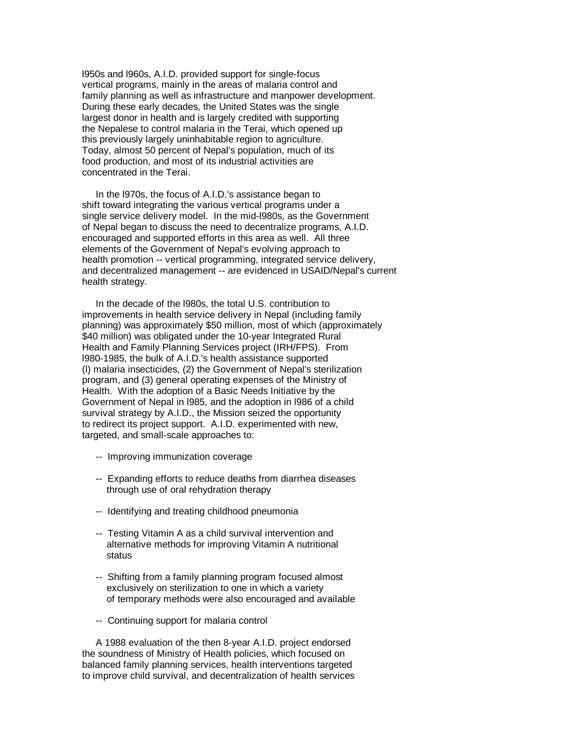l950s and l960s, A.I.D. provided support for single-focus vertical programs, mainly in the areas of malaria control and family planning as well as infrastructure and manpower development. During these early decades, the United States was the single largest donor in health and is largely credited with supporting the Nepalese to control malaria in the Terai, which opened up this previously largely uninhabitable region to agriculture. Today, almost 50 percent of Nepal's population, much of its food production, and most of its industrial activities are concentrated in the Terai.

 In the l970s, the focus of A.I.D.'s assistance began to shift toward integrating the various vertical programs under a single service delivery model. In the mid-l980s, as the Government of Nepal began to discuss the need to decentralize programs, A.I.D. encouraged and supported efforts in this area as well. All three elements of the Government of Nepal's evolving approach to health promotion -- vertical programming, integrated service delivery, and decentralized management -- are evidenced in USAID/Nepal's current health strategy.

 In the decade of the l980s, the total U.S. contribution to improvements in health service delivery in Nepal (including family planning) was approximately \$50 million, most of which (approximately \$40 million) was obligated under the 10-year Integrated Rural Health and Family Planning Services project (IRH/FPS). From l980-1985, the bulk of A.I.D.'s health assistance supported (l) malaria insecticides, (2) the Government of Nepal's sterilization program, and (3) general operating expenses of the Ministry of Health. With the adoption of a Basic Needs Initiative by the Government of Nepal in l985, and the adoption in l986 of a child survival strategy by A.I.D., the Mission seized the opportunity to redirect its project support. A.I.D. experimented with new, targeted, and small-scale approaches to:

- -- Improving immunization coverage
- -- Expanding efforts to reduce deaths from diarrhea diseases through use of oral rehydration therapy
- -- Identifying and treating childhood pneumonia
- -- Testing Vitamin A as a child survival intervention and alternative methods for improving Vitamin A nutritional status
- -- Shifting from a family planning program focused almost exclusively on sterilization to one in which a variety of temporary methods were also encouraged and available
- -- Continuing support for malaria control

 A 1988 evaluation of the then 8-year A.I.D. project endorsed the soundness of Ministry of Health policies, which focused on balanced family planning services, health interventions targeted to improve child survival, and decentralization of health services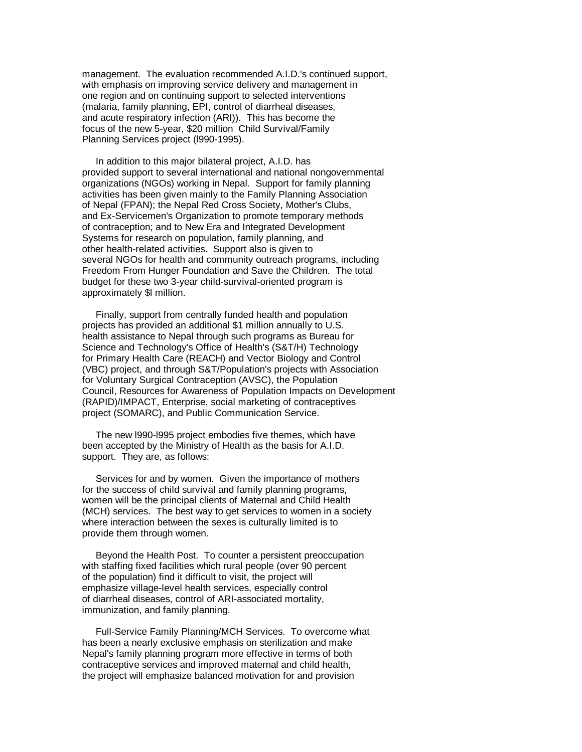management. The evaluation recommended A.I.D.'s continued support, with emphasis on improving service delivery and management in one region and on continuing support to selected interventions (malaria, family planning, EPI, control of diarrheal diseases, and acute respiratory infection (ARI)). This has become the focus of the new 5-year, \$20 million Child Survival/Family Planning Services project (l990-1995).

 In addition to this major bilateral project, A.I.D. has provided support to several international and national nongovernmental organizations (NGOs) working in Nepal. Support for family planning activities has been given mainly to the Family Planning Association of Nepal (FPAN); the Nepal Red Cross Society, Mother's Clubs, and Ex-Servicemen's Organization to promote temporary methods of contraception; and to New Era and Integrated Development Systems for research on population, family planning, and other health-related activities. Support also is given to several NGOs for health and community outreach programs, including Freedom From Hunger Foundation and Save the Children. The total budget for these two 3-year child-survival-oriented program is approximately \$l million.

 Finally, support from centrally funded health and population projects has provided an additional \$1 million annually to U.S. health assistance to Nepal through such programs as Bureau for Science and Technology's Office of Health's (S&T/H) Technology for Primary Health Care (REACH) and Vector Biology and Control (VBC) project, and through S&T/Population's projects with Association for Voluntary Surgical Contraception (AVSC), the Population Council, Resources for Awareness of Population Impacts on Development (RAPID)/IMPACT, Enterprise, social marketing of contraceptives project (SOMARC), and Public Communication Service.

 The new l990-l995 project embodies five themes, which have been accepted by the Ministry of Health as the basis for A.I.D. support. They are, as follows:

 Services for and by women. Given the importance of mothers for the success of child survival and family planning programs, women will be the principal clients of Maternal and Child Health (MCH) services. The best way to get services to women in a society where interaction between the sexes is culturally limited is to provide them through women.

 Beyond the Health Post. To counter a persistent preoccupation with staffing fixed facilities which rural people (over 90 percent of the population) find it difficult to visit, the project will emphasize village-level health services, especially control of diarrheal diseases, control of ARI-associated mortality, immunization, and family planning.

 Full-Service Family Planning/MCH Services. To overcome what has been a nearly exclusive emphasis on sterilization and make Nepal's family planning program more effective in terms of both contraceptive services and improved maternal and child health, the project will emphasize balanced motivation for and provision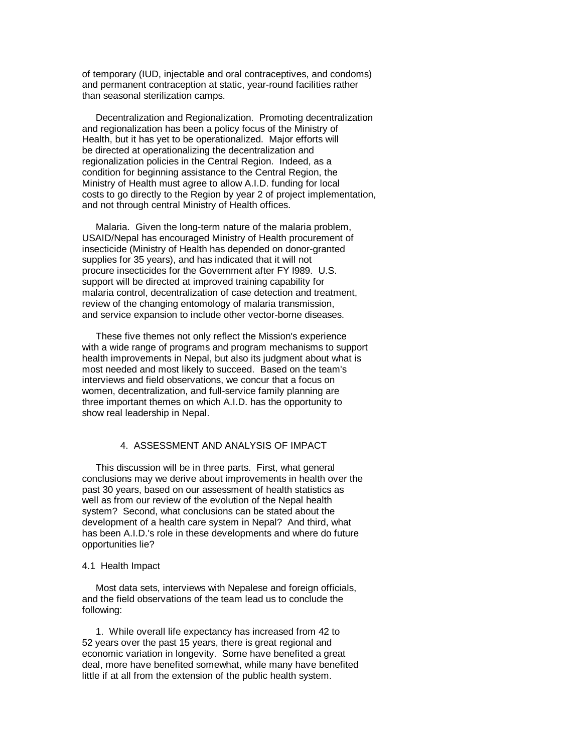of temporary (IUD, injectable and oral contraceptives, and condoms) and permanent contraception at static, year-round facilities rather than seasonal sterilization camps.

 Decentralization and Regionalization. Promoting decentralization and regionalization has been a policy focus of the Ministry of Health, but it has yet to be operationalized. Major efforts will be directed at operationalizing the decentralization and regionalization policies in the Central Region. Indeed, as a condition for beginning assistance to the Central Region, the Ministry of Health must agree to allow A.I.D. funding for local costs to go directly to the Region by year 2 of project implementation, and not through central Ministry of Health offices.

 Malaria. Given the long-term nature of the malaria problem, USAID/Nepal has encouraged Ministry of Health procurement of insecticide (Ministry of Health has depended on donor-granted supplies for 35 years), and has indicated that it will not procure insecticides for the Government after FY l989. U.S. support will be directed at improved training capability for malaria control, decentralization of case detection and treatment, review of the changing entomology of malaria transmission, and service expansion to include other vector-borne diseases.

 These five themes not only reflect the Mission's experience with a wide range of programs and program mechanisms to support health improvements in Nepal, but also its judgment about what is most needed and most likely to succeed. Based on the team's interviews and field observations, we concur that a focus on women, decentralization, and full-service family planning are three important themes on which A.I.D. has the opportunity to show real leadership in Nepal.

# 4. ASSESSMENT AND ANALYSIS OF IMPACT

 This discussion will be in three parts. First, what general conclusions may we derive about improvements in health over the past 30 years, based on our assessment of health statistics as well as from our review of the evolution of the Nepal health system? Second, what conclusions can be stated about the development of a health care system in Nepal? And third, what has been A.I.D.'s role in these developments and where do future opportunities lie?

#### 4.1 Health Impact

 Most data sets, interviews with Nepalese and foreign officials, and the field observations of the team lead us to conclude the following:

 1. While overall life expectancy has increased from 42 to 52 years over the past 15 years, there is great regional and economic variation in longevity. Some have benefited a great deal, more have benefited somewhat, while many have benefited little if at all from the extension of the public health system.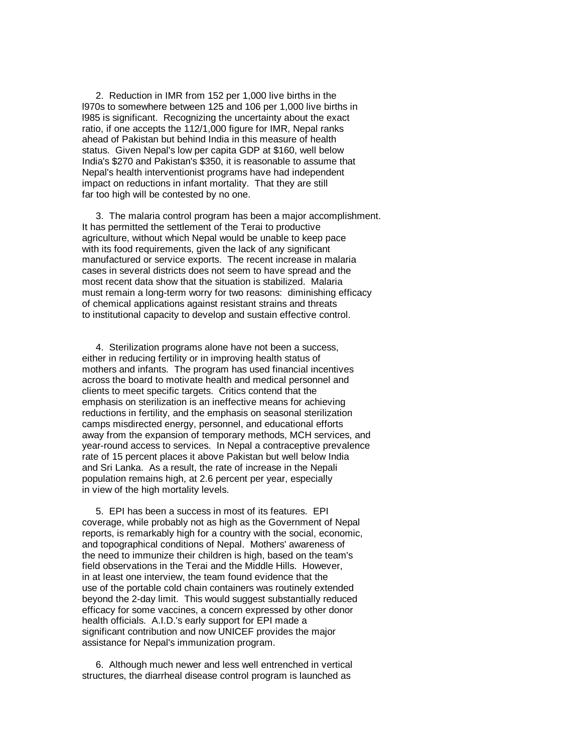2. Reduction in IMR from 152 per 1,000 live births in the l970s to somewhere between 125 and 106 per 1,000 live births in l985 is significant. Recognizing the uncertainty about the exact ratio, if one accepts the 112/1,000 figure for IMR, Nepal ranks ahead of Pakistan but behind India in this measure of health status. Given Nepal's low per capita GDP at \$160, well below India's \$270 and Pakistan's \$350, it is reasonable to assume that Nepal's health interventionist programs have had independent impact on reductions in infant mortality. That they are still far too high will be contested by no one.

 3. The malaria control program has been a major accomplishment. It has permitted the settlement of the Terai to productive agriculture, without which Nepal would be unable to keep pace with its food requirements, given the lack of any significant manufactured or service exports. The recent increase in malaria cases in several districts does not seem to have spread and the most recent data show that the situation is stabilized. Malaria must remain a long-term worry for two reasons: diminishing efficacy of chemical applications against resistant strains and threats to institutional capacity to develop and sustain effective control.

 4. Sterilization programs alone have not been a success, either in reducing fertility or in improving health status of mothers and infants. The program has used financial incentives across the board to motivate health and medical personnel and clients to meet specific targets. Critics contend that the emphasis on sterilization is an ineffective means for achieving reductions in fertility, and the emphasis on seasonal sterilization camps misdirected energy, personnel, and educational efforts away from the expansion of temporary methods, MCH services, and year-round access to services. In Nepal a contraceptive prevalence rate of 15 percent places it above Pakistan but well below India and Sri Lanka. As a result, the rate of increase in the Nepali population remains high, at 2.6 percent per year, especially in view of the high mortality levels.

 5. EPI has been a success in most of its features. EPI coverage, while probably not as high as the Government of Nepal reports, is remarkably high for a country with the social, economic, and topographical conditions of Nepal. Mothers' awareness of the need to immunize their children is high, based on the team's field observations in the Terai and the Middle Hills. However, in at least one interview, the team found evidence that the use of the portable cold chain containers was routinely extended beyond the 2-day limit. This would suggest substantially reduced efficacy for some vaccines, a concern expressed by other donor health officials. A.I.D.'s early support for EPI made a significant contribution and now UNICEF provides the major assistance for Nepal's immunization program.

 6. Although much newer and less well entrenched in vertical structures, the diarrheal disease control program is launched as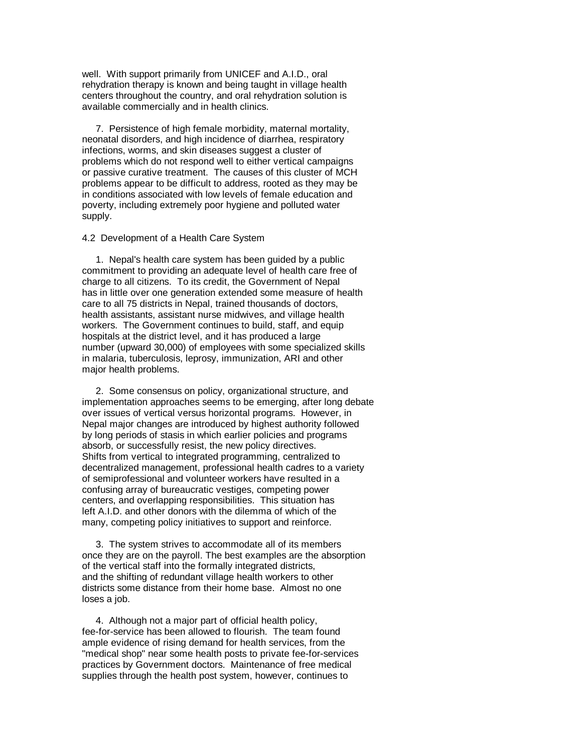well. With support primarily from UNICEF and A.I.D., oral rehydration therapy is known and being taught in village health centers throughout the country, and oral rehydration solution is available commercially and in health clinics.

 7. Persistence of high female morbidity, maternal mortality, neonatal disorders, and high incidence of diarrhea, respiratory infections, worms, and skin diseases suggest a cluster of problems which do not respond well to either vertical campaigns or passive curative treatment. The causes of this cluster of MCH problems appear to be difficult to address, rooted as they may be in conditions associated with low levels of female education and poverty, including extremely poor hygiene and polluted water supply.

#### 4.2 Development of a Health Care System

 1. Nepal's health care system has been guided by a public commitment to providing an adequate level of health care free of charge to all citizens. To its credit, the Government of Nepal has in little over one generation extended some measure of health care to all 75 districts in Nepal, trained thousands of doctors, health assistants, assistant nurse midwives, and village health workers. The Government continues to build, staff, and equip hospitals at the district level, and it has produced a large number (upward 30,000) of employees with some specialized skills in malaria, tuberculosis, leprosy, immunization, ARI and other major health problems.

 2. Some consensus on policy, organizational structure, and implementation approaches seems to be emerging, after long debate over issues of vertical versus horizontal programs. However, in Nepal major changes are introduced by highest authority followed by long periods of stasis in which earlier policies and programs absorb, or successfully resist, the new policy directives. Shifts from vertical to integrated programming, centralized to decentralized management, professional health cadres to a variety of semiprofessional and volunteer workers have resulted in a confusing array of bureaucratic vestiges, competing power centers, and overlapping responsibilities. This situation has left A.I.D. and other donors with the dilemma of which of the many, competing policy initiatives to support and reinforce.

 3. The system strives to accommodate all of its members once they are on the payroll. The best examples are the absorption of the vertical staff into the formally integrated districts, and the shifting of redundant village health workers to other districts some distance from their home base. Almost no one loses a job.

 4. Although not a major part of official health policy, fee-for-service has been allowed to flourish. The team found ample evidence of rising demand for health services, from the "medical shop" near some health posts to private fee-for-services practices by Government doctors. Maintenance of free medical supplies through the health post system, however, continues to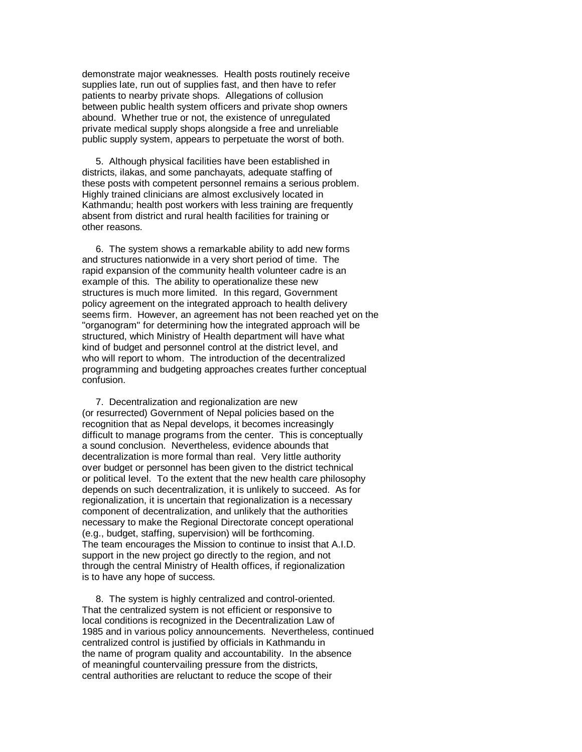demonstrate major weaknesses. Health posts routinely receive supplies late, run out of supplies fast, and then have to refer patients to nearby private shops. Allegations of collusion between public health system officers and private shop owners abound. Whether true or not, the existence of unregulated private medical supply shops alongside a free and unreliable public supply system, appears to perpetuate the worst of both.

 5. Although physical facilities have been established in districts, ilakas, and some panchayats, adequate staffing of these posts with competent personnel remains a serious problem. Highly trained clinicians are almost exclusively located in Kathmandu; health post workers with less training are frequently absent from district and rural health facilities for training or other reasons.

 6. The system shows a remarkable ability to add new forms and structures nationwide in a very short period of time. The rapid expansion of the community health volunteer cadre is an example of this. The ability to operationalize these new structures is much more limited. In this regard, Government policy agreement on the integrated approach to health delivery seems firm. However, an agreement has not been reached yet on the "organogram" for determining how the integrated approach will be structured, which Ministry of Health department will have what kind of budget and personnel control at the district level, and who will report to whom. The introduction of the decentralized programming and budgeting approaches creates further conceptual confusion.

 7. Decentralization and regionalization are new (or resurrected) Government of Nepal policies based on the recognition that as Nepal develops, it becomes increasingly difficult to manage programs from the center. This is conceptually a sound conclusion. Nevertheless, evidence abounds that decentralization is more formal than real. Very little authority over budget or personnel has been given to the district technical or political level. To the extent that the new health care philosophy depends on such decentralization, it is unlikely to succeed. As for regionalization, it is uncertain that regionalization is a necessary component of decentralization, and unlikely that the authorities necessary to make the Regional Directorate concept operational (e.g., budget, staffing, supervision) will be forthcoming. The team encourages the Mission to continue to insist that A.I.D. support in the new project go directly to the region, and not through the central Ministry of Health offices, if regionalization is to have any hope of success.

 8. The system is highly centralized and control-oriented. That the centralized system is not efficient or responsive to local conditions is recognized in the Decentralization Law of 1985 and in various policy announcements. Nevertheless, continued centralized control is justified by officials in Kathmandu in the name of program quality and accountability. In the absence of meaningful countervailing pressure from the districts, central authorities are reluctant to reduce the scope of their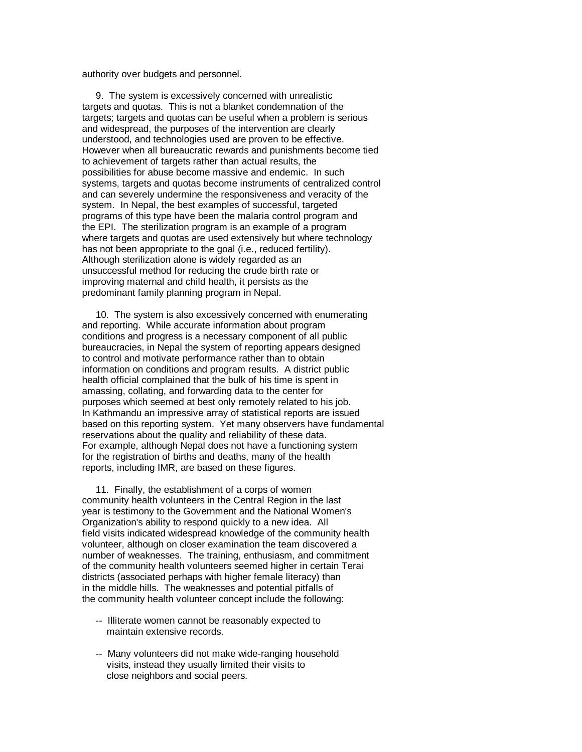authority over budgets and personnel.

 9. The system is excessively concerned with unrealistic targets and quotas. This is not a blanket condemnation of the targets; targets and quotas can be useful when a problem is serious and widespread, the purposes of the intervention are clearly understood, and technologies used are proven to be effective. However when all bureaucratic rewards and punishments become tied to achievement of targets rather than actual results, the possibilities for abuse become massive and endemic. In such systems, targets and quotas become instruments of centralized control and can severely undermine the responsiveness and veracity of the system. In Nepal, the best examples of successful, targeted programs of this type have been the malaria control program and the EPI. The sterilization program is an example of a program where targets and quotas are used extensively but where technology has not been appropriate to the goal (i.e., reduced fertility). Although sterilization alone is widely regarded as an unsuccessful method for reducing the crude birth rate or improving maternal and child health, it persists as the predominant family planning program in Nepal.

 10. The system is also excessively concerned with enumerating and reporting. While accurate information about program conditions and progress is a necessary component of all public bureaucracies, in Nepal the system of reporting appears designed to control and motivate performance rather than to obtain information on conditions and program results. A district public health official complained that the bulk of his time is spent in amassing, collating, and forwarding data to the center for purposes which seemed at best only remotely related to his job. In Kathmandu an impressive array of statistical reports are issued based on this reporting system. Yet many observers have fundamental reservations about the quality and reliability of these data. For example, although Nepal does not have a functioning system for the registration of births and deaths, many of the health reports, including IMR, are based on these figures.

 11. Finally, the establishment of a corps of women community health volunteers in the Central Region in the last year is testimony to the Government and the National Women's Organization's ability to respond quickly to a new idea. All field visits indicated widespread knowledge of the community health volunteer, although on closer examination the team discovered a number of weaknesses. The training, enthusiasm, and commitment of the community health volunteers seemed higher in certain Terai districts (associated perhaps with higher female literacy) than in the middle hills. The weaknesses and potential pitfalls of the community health volunteer concept include the following:

- -- Illiterate women cannot be reasonably expected to maintain extensive records.
- -- Many volunteers did not make wide-ranging household visits, instead they usually limited their visits to close neighbors and social peers.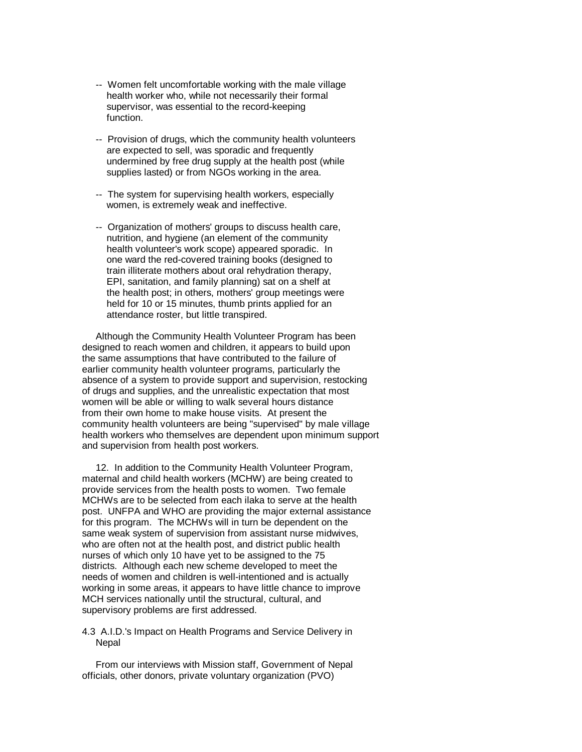- -- Women felt uncomfortable working with the male village health worker who, while not necessarily their formal supervisor, was essential to the record-keeping function.
- -- Provision of drugs, which the community health volunteers are expected to sell, was sporadic and frequently undermined by free drug supply at the health post (while supplies lasted) or from NGOs working in the area.
- -- The system for supervising health workers, especially women, is extremely weak and ineffective.
- -- Organization of mothers' groups to discuss health care, nutrition, and hygiene (an element of the community health volunteer's work scope) appeared sporadic. In one ward the red-covered training books (designed to train illiterate mothers about oral rehydration therapy, EPI, sanitation, and family planning) sat on a shelf at the health post; in others, mothers' group meetings were held for 10 or 15 minutes, thumb prints applied for an attendance roster, but little transpired.

 Although the Community Health Volunteer Program has been designed to reach women and children, it appears to build upon the same assumptions that have contributed to the failure of earlier community health volunteer programs, particularly the absence of a system to provide support and supervision, restocking of drugs and supplies, and the unrealistic expectation that most women will be able or willing to walk several hours distance from their own home to make house visits. At present the community health volunteers are being "supervised" by male village health workers who themselves are dependent upon minimum support and supervision from health post workers.

 12. In addition to the Community Health Volunteer Program, maternal and child health workers (MCHW) are being created to provide services from the health posts to women. Two female MCHWs are to be selected from each ilaka to serve at the health post. UNFPA and WHO are providing the major external assistance for this program. The MCHWs will in turn be dependent on the same weak system of supervision from assistant nurse midwives, who are often not at the health post, and district public health nurses of which only 10 have yet to be assigned to the 75 districts. Although each new scheme developed to meet the needs of women and children is well-intentioned and is actually working in some areas, it appears to have little chance to improve MCH services nationally until the structural, cultural, and supervisory problems are first addressed.

#### 4.3 A.I.D.'s Impact on Health Programs and Service Delivery in Nepal

 From our interviews with Mission staff, Government of Nepal officials, other donors, private voluntary organization (PVO)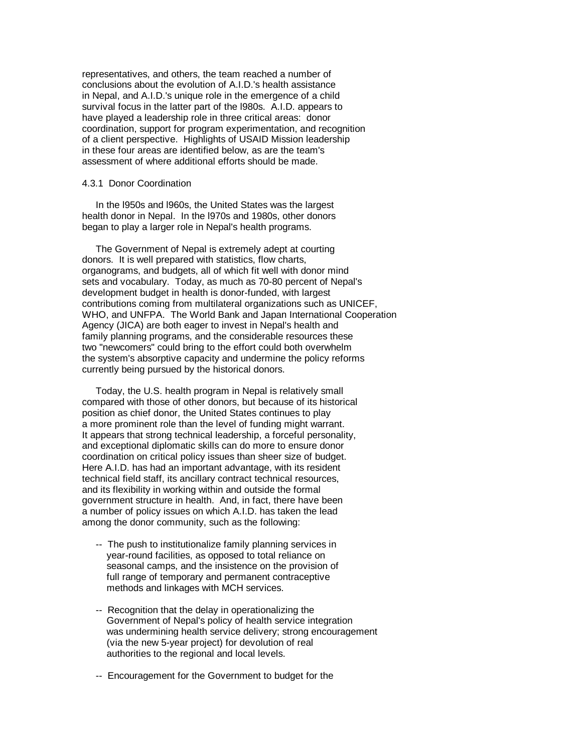representatives, and others, the team reached a number of conclusions about the evolution of A.I.D.'s health assistance in Nepal, and A.I.D.'s unique role in the emergence of a child survival focus in the latter part of the l980s. A.I.D. appears to have played a leadership role in three critical areas: donor coordination, support for program experimentation, and recognition of a client perspective. Highlights of USAID Mission leadership in these four areas are identified below, as are the team's assessment of where additional efforts should be made.

#### 4.3.1 Donor Coordination

 In the l950s and l960s, the United States was the largest health donor in Nepal. In the l970s and 1980s, other donors began to play a larger role in Nepal's health programs.

 The Government of Nepal is extremely adept at courting donors. It is well prepared with statistics, flow charts, organograms, and budgets, all of which fit well with donor mind sets and vocabulary. Today, as much as 70-80 percent of Nepal's development budget in health is donor-funded, with largest contributions coming from multilateral organizations such as UNICEF, WHO, and UNFPA. The World Bank and Japan International Cooperation Agency (JICA) are both eager to invest in Nepal's health and family planning programs, and the considerable resources these two "newcomers" could bring to the effort could both overwhelm the system's absorptive capacity and undermine the policy reforms currently being pursued by the historical donors.

 Today, the U.S. health program in Nepal is relatively small compared with those of other donors, but because of its historical position as chief donor, the United States continues to play a more prominent role than the level of funding might warrant. It appears that strong technical leadership, a forceful personality, and exceptional diplomatic skills can do more to ensure donor coordination on critical policy issues than sheer size of budget. Here A.I.D. has had an important advantage, with its resident technical field staff, its ancillary contract technical resources, and its flexibility in working within and outside the formal government structure in health. And, in fact, there have been a number of policy issues on which A.I.D. has taken the lead among the donor community, such as the following:

- -- The push to institutionalize family planning services in year-round facilities, as opposed to total reliance on seasonal camps, and the insistence on the provision of full range of temporary and permanent contraceptive methods and linkages with MCH services.
- -- Recognition that the delay in operationalizing the Government of Nepal's policy of health service integration was undermining health service delivery; strong encouragement (via the new 5-year project) for devolution of real authorities to the regional and local levels.
- -- Encouragement for the Government to budget for the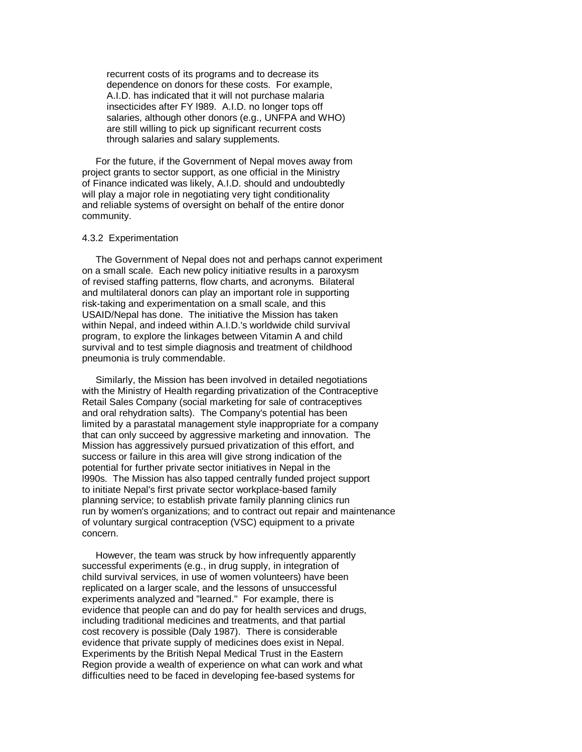recurrent costs of its programs and to decrease its dependence on donors for these costs. For example, A.I.D. has indicated that it will not purchase malaria insecticides after FY l989. A.I.D. no longer tops off salaries, although other donors (e.g., UNFPA and WHO) are still willing to pick up significant recurrent costs through salaries and salary supplements.

 For the future, if the Government of Nepal moves away from project grants to sector support, as one official in the Ministry of Finance indicated was likely, A.I.D. should and undoubtedly will play a major role in negotiating very tight conditionality and reliable systems of oversight on behalf of the entire donor community.

#### 4.3.2 Experimentation

 The Government of Nepal does not and perhaps cannot experiment on a small scale. Each new policy initiative results in a paroxysm of revised staffing patterns, flow charts, and acronyms. Bilateral and multilateral donors can play an important role in supporting risk-taking and experimentation on a small scale, and this USAID/Nepal has done. The initiative the Mission has taken within Nepal, and indeed within A.I.D.'s worldwide child survival program, to explore the linkages between Vitamin A and child survival and to test simple diagnosis and treatment of childhood pneumonia is truly commendable.

 Similarly, the Mission has been involved in detailed negotiations with the Ministry of Health regarding privatization of the Contraceptive Retail Sales Company (social marketing for sale of contraceptives and oral rehydration salts). The Company's potential has been limited by a parastatal management style inappropriate for a company that can only succeed by aggressive marketing and innovation. The Mission has aggressively pursued privatization of this effort, and success or failure in this area will give strong indication of the potential for further private sector initiatives in Nepal in the l990s. The Mission has also tapped centrally funded project support to initiate Nepal's first private sector workplace-based family planning service; to establish private family planning clinics run run by women's organizations; and to contract out repair and maintenance of voluntary surgical contraception (VSC) equipment to a private concern.

 However, the team was struck by how infrequently apparently successful experiments (e.g., in drug supply, in integration of child survival services, in use of women volunteers) have been replicated on a larger scale, and the lessons of unsuccessful experiments analyzed and "learned." For example, there is evidence that people can and do pay for health services and drugs, including traditional medicines and treatments, and that partial cost recovery is possible (Daly 1987). There is considerable evidence that private supply of medicines does exist in Nepal. Experiments by the British Nepal Medical Trust in the Eastern Region provide a wealth of experience on what can work and what difficulties need to be faced in developing fee-based systems for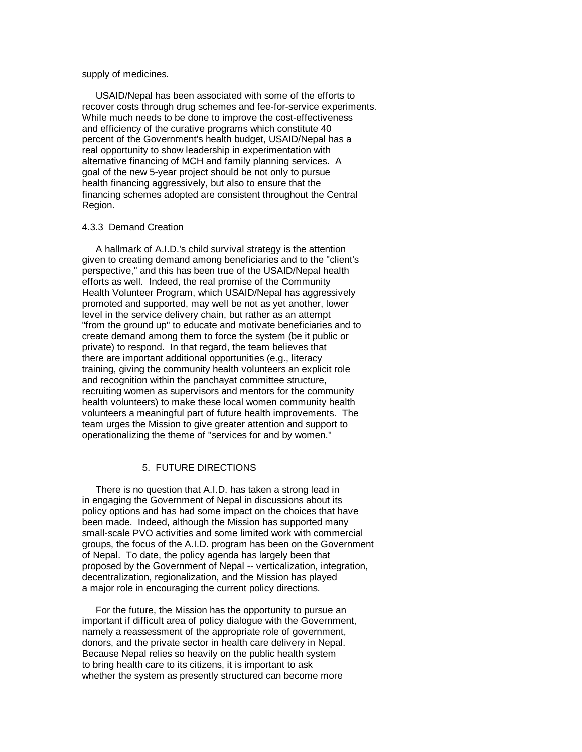### supply of medicines.

 USAID/Nepal has been associated with some of the efforts to recover costs through drug schemes and fee-for-service experiments. While much needs to be done to improve the cost-effectiveness and efficiency of the curative programs which constitute 40 percent of the Government's health budget, USAID/Nepal has a real opportunity to show leadership in experimentation with alternative financing of MCH and family planning services. A goal of the new 5-year project should be not only to pursue health financing aggressively, but also to ensure that the financing schemes adopted are consistent throughout the Central Region.

#### 4.3.3 Demand Creation

 A hallmark of A.I.D.'s child survival strategy is the attention given to creating demand among beneficiaries and to the "client's perspective," and this has been true of the USAID/Nepal health efforts as well. Indeed, the real promise of the Community Health Volunteer Program, which USAID/Nepal has aggressively promoted and supported, may well be not as yet another, lower level in the service delivery chain, but rather as an attempt "from the ground up" to educate and motivate beneficiaries and to create demand among them to force the system (be it public or private) to respond. In that regard, the team believes that there are important additional opportunities (e.g., literacy training, giving the community health volunteers an explicit role and recognition within the panchayat committee structure, recruiting women as supervisors and mentors for the community health volunteers) to make these local women community health volunteers a meaningful part of future health improvements. The team urges the Mission to give greater attention and support to operationalizing the theme of "services for and by women."

# 5. FUTURE DIRECTIONS

 There is no question that A.I.D. has taken a strong lead in in engaging the Government of Nepal in discussions about its policy options and has had some impact on the choices that have been made. Indeed, although the Mission has supported many small-scale PVO activities and some limited work with commercial groups, the focus of the A.I.D. program has been on the Government of Nepal. To date, the policy agenda has largely been that proposed by the Government of Nepal -- verticalization, integration, decentralization, regionalization, and the Mission has played a major role in encouraging the current policy directions.

 For the future, the Mission has the opportunity to pursue an important if difficult area of policy dialogue with the Government, namely a reassessment of the appropriate role of government, donors, and the private sector in health care delivery in Nepal. Because Nepal relies so heavily on the public health system to bring health care to its citizens, it is important to ask whether the system as presently structured can become more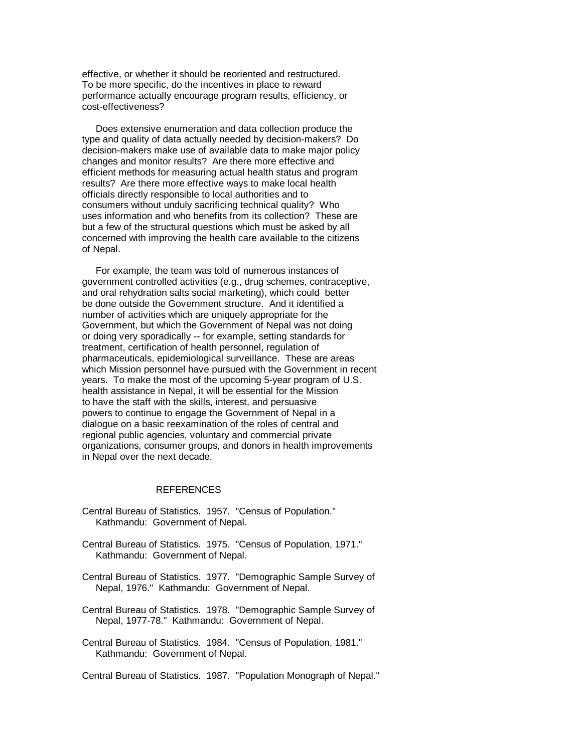effective, or whether it should be reoriented and restructured. To be more specific, do the incentives in place to reward performance actually encourage program results, efficiency, or cost-effectiveness?

 Does extensive enumeration and data collection produce the type and quality of data actually needed by decision-makers? Do decision-makers make use of available data to make major policy changes and monitor results? Are there more effective and efficient methods for measuring actual health status and program results? Are there more effective ways to make local health officials directly responsible to local authorities and to consumers without unduly sacrificing technical quality? Who uses information and who benefits from its collection? These are but a few of the structural questions which must be asked by all concerned with improving the health care available to the citizens of Nepal.

 For example, the team was told of numerous instances of government controlled activities (e.g., drug schemes, contraceptive, and oral rehydration salts social marketing), which could better be done outside the Government structure. And it identified a number of activities which are uniquely appropriate for the Government, but which the Government of Nepal was not doing or doing very sporadically -- for example, setting standards for treatment, certification of health personnel, regulation of pharmaceuticals, epidemiological surveillance. These are areas which Mission personnel have pursued with the Government in recent years. To make the most of the upcoming 5-year program of U.S. health assistance in Nepal, it will be essential for the Mission to have the staff with the skills, interest, and persuasive powers to continue to engage the Government of Nepal in a dialogue on a basic reexamination of the roles of central and regional public agencies, voluntary and commercial private organizations, consumer groups, and donors in health improvements in Nepal over the next decade.

#### REFERENCES

- Central Bureau of Statistics. 1957. "Census of Population." Kathmandu: Government of Nepal.
- Central Bureau of Statistics. 1975. "Census of Population, 1971." Kathmandu: Government of Nepal.
- Central Bureau of Statistics. 1977. "Demographic Sample Survey of Nepal, 1976." Kathmandu: Government of Nepal.
- Central Bureau of Statistics. 1978. "Demographic Sample Survey of Nepal, 1977-78." Kathmandu: Government of Nepal.
- Central Bureau of Statistics. 1984. "Census of Population, 1981." Kathmandu: Government of Nepal.

Central Bureau of Statistics. 1987. "Population Monograph of Nepal."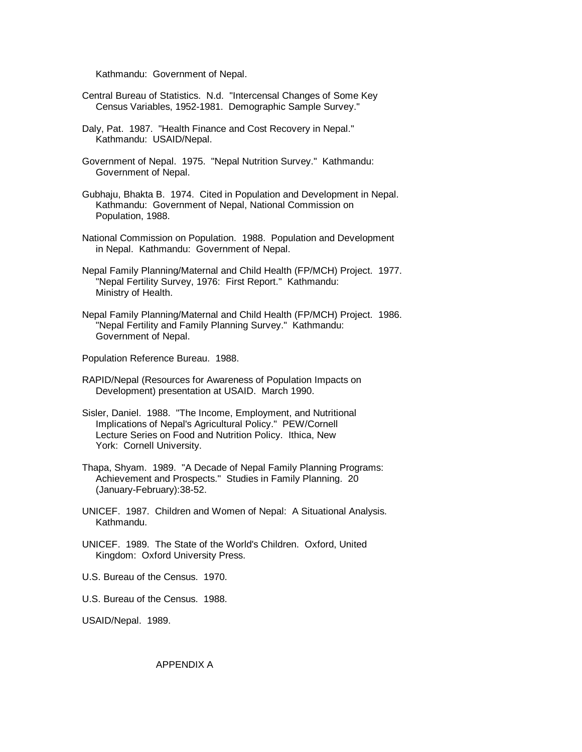Kathmandu: Government of Nepal.

- Central Bureau of Statistics. N.d. "Intercensal Changes of Some Key Census Variables, 1952-1981. Demographic Sample Survey."
- Daly, Pat. 1987. "Health Finance and Cost Recovery in Nepal." Kathmandu: USAID/Nepal.
- Government of Nepal. 1975. "Nepal Nutrition Survey." Kathmandu: Government of Nepal.
- Gubhaju, Bhakta B. 1974. Cited in Population and Development in Nepal. Kathmandu: Government of Nepal, National Commission on Population, 1988.
- National Commission on Population. 1988. Population and Development in Nepal. Kathmandu: Government of Nepal.
- Nepal Family Planning/Maternal and Child Health (FP/MCH) Project. 1977. "Nepal Fertility Survey, 1976: First Report." Kathmandu: Ministry of Health.
- Nepal Family Planning/Maternal and Child Health (FP/MCH) Project. 1986. "Nepal Fertility and Family Planning Survey." Kathmandu: Government of Nepal.

Population Reference Bureau. 1988.

- RAPID/Nepal (Resources for Awareness of Population Impacts on Development) presentation at USAID. March 1990.
- Sisler, Daniel. 1988. "The Income, Employment, and Nutritional Implications of Nepal's Agricultural Policy." PEW/Cornell Lecture Series on Food and Nutrition Policy. Ithica, New York: Cornell University.
- Thapa, Shyam. 1989. "A Decade of Nepal Family Planning Programs: Achievement and Prospects." Studies in Family Planning. 20 (January-February):38-52.
- UNICEF. 1987. Children and Women of Nepal: A Situational Analysis. Kathmandu.
- UNICEF. 1989. The State of the World's Children. Oxford, United Kingdom: Oxford University Press.
- U.S. Bureau of the Census. 1970.
- U.S. Bureau of the Census. 1988.

USAID/Nepal. 1989.

APPENDIX A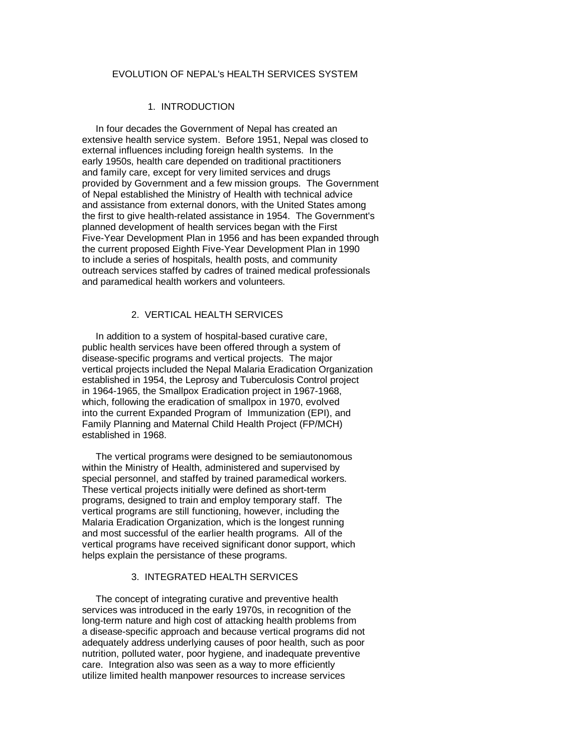# EVOLUTION OF NEPAL's HEALTH SERVICES SYSTEM

# 1. INTRODUCTION

 In four decades the Government of Nepal has created an extensive health service system. Before 1951, Nepal was closed to external influences including foreign health systems. In the early 1950s, health care depended on traditional practitioners and family care, except for very limited services and drugs provided by Government and a few mission groups. The Government of Nepal established the Ministry of Health with technical advice and assistance from external donors, with the United States among the first to give health-related assistance in 1954. The Government's planned development of health services began with the First Five-Year Development Plan in 1956 and has been expanded through the current proposed Eighth Five-Year Development Plan in 1990 to include a series of hospitals, health posts, and community outreach services staffed by cadres of trained medical professionals and paramedical health workers and volunteers.

# 2. VERTICAL HEALTH SERVICES

 In addition to a system of hospital-based curative care, public health services have been offered through a system of disease-specific programs and vertical projects. The major vertical projects included the Nepal Malaria Eradication Organization established in 1954, the Leprosy and Tuberculosis Control project in 1964-1965, the Smallpox Eradication project in 1967-1968, which, following the eradication of smallpox in 1970, evolved into the current Expanded Program of Immunization (EPI), and Family Planning and Maternal Child Health Project (FP/MCH) established in 1968.

 The vertical programs were designed to be semiautonomous within the Ministry of Health, administered and supervised by special personnel, and staffed by trained paramedical workers. These vertical projects initially were defined as short-term programs, designed to train and employ temporary staff. The vertical programs are still functioning, however, including the Malaria Eradication Organization, which is the longest running and most successful of the earlier health programs. All of the vertical programs have received significant donor support, which helps explain the persistance of these programs.

### 3. INTEGRATED HEALTH SERVICES

 The concept of integrating curative and preventive health services was introduced in the early 1970s, in recognition of the long-term nature and high cost of attacking health problems from a disease-specific approach and because vertical programs did not adequately address underlying causes of poor health, such as poor nutrition, polluted water, poor hygiene, and inadequate preventive care. Integration also was seen as a way to more efficiently utilize limited health manpower resources to increase services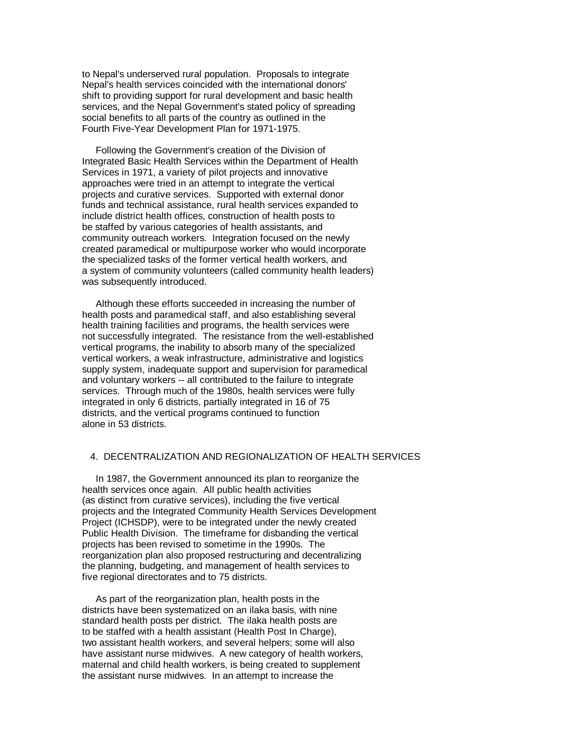to Nepal's underserved rural population. Proposals to integrate Nepal's health services coincided with the international donors' shift to providing support for rural development and basic health services, and the Nepal Government's stated policy of spreading social benefits to all parts of the country as outlined in the Fourth Five-Year Development Plan for 1971-1975.

 Following the Government's creation of the Division of Integrated Basic Health Services within the Department of Health Services in 1971, a variety of pilot projects and innovative approaches were tried in an attempt to integrate the vertical projects and curative services. Supported with external donor funds and technical assistance, rural health services expanded to include district health offices, construction of health posts to be staffed by various categories of health assistants, and community outreach workers. Integration focused on the newly created paramedical or multipurpose worker who would incorporate the specialized tasks of the former vertical health workers, and a system of community volunteers (called community health leaders) was subsequently introduced.

 Although these efforts succeeded in increasing the number of health posts and paramedical staff, and also establishing several health training facilities and programs, the health services were not successfully integrated. The resistance from the well-established vertical programs, the inability to absorb many of the specialized vertical workers, a weak infrastructure, administrative and logistics supply system, inadequate support and supervision for paramedical and voluntary workers -- all contributed to the failure to integrate services. Through much of the 1980s, health services were fully integrated in only 6 districts, partially integrated in 16 of 75 districts, and the vertical programs continued to function alone in 53 districts.

### 4. DECENTRALIZATION AND REGIONALIZATION OF HEALTH SERVICES

 In 1987, the Government announced its plan to reorganize the health services once again. All public health activities (as distinct from curative services), including the five vertical projects and the Integrated Community Health Services Development Project (ICHSDP), were to be integrated under the newly created Public Health Division. The timeframe for disbanding the vertical projects has been revised to sometime in the 1990s. The reorganization plan also proposed restructuring and decentralizing the planning, budgeting, and management of health services to five regional directorates and to 75 districts.

 As part of the reorganization plan, health posts in the districts have been systematized on an ilaka basis, with nine standard health posts per district. The ilaka health posts are to be staffed with a health assistant (Health Post In Charge), two assistant health workers, and several helpers; some will also have assistant nurse midwives. A new category of health workers, maternal and child health workers, is being created to supplement the assistant nurse midwives. In an attempt to increase the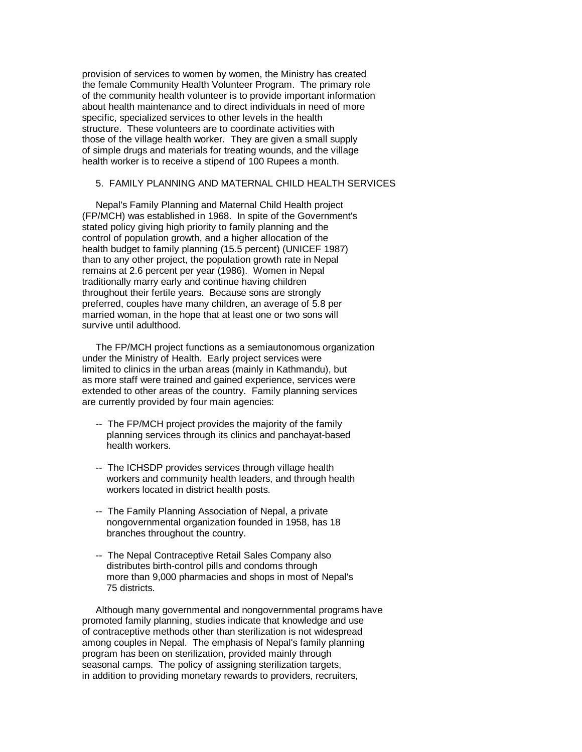provision of services to women by women, the Ministry has created the female Community Health Volunteer Program. The primary role of the community health volunteer is to provide important information about health maintenance and to direct individuals in need of more specific, specialized services to other levels in the health structure. These volunteers are to coordinate activities with those of the village health worker. They are given a small supply of simple drugs and materials for treating wounds, and the village health worker is to receive a stipend of 100 Rupees a month.

# 5. FAMILY PLANNING AND MATERNAL CHILD HEALTH SERVICES

 Nepal's Family Planning and Maternal Child Health project (FP/MCH) was established in 1968. In spite of the Government's stated policy giving high priority to family planning and the control of population growth, and a higher allocation of the health budget to family planning (15.5 percent) (UNICEF 1987) than to any other project, the population growth rate in Nepal remains at 2.6 percent per year (1986). Women in Nepal traditionally marry early and continue having children throughout their fertile years. Because sons are strongly preferred, couples have many children, an average of 5.8 per married woman, in the hope that at least one or two sons will survive until adulthood.

 The FP/MCH project functions as a semiautonomous organization under the Ministry of Health. Early project services were limited to clinics in the urban areas (mainly in Kathmandu), but as more staff were trained and gained experience, services were extended to other areas of the country. Family planning services are currently provided by four main agencies:

- -- The FP/MCH project provides the majority of the family planning services through its clinics and panchayat-based health workers.
- -- The ICHSDP provides services through village health workers and community health leaders, and through health workers located in district health posts.
- -- The Family Planning Association of Nepal, a private nongovernmental organization founded in 1958, has 18 branches throughout the country.
- -- The Nepal Contraceptive Retail Sales Company also distributes birth-control pills and condoms through more than 9,000 pharmacies and shops in most of Nepal's 75 districts.

 Although many governmental and nongovernmental programs have promoted family planning, studies indicate that knowledge and use of contraceptive methods other than sterilization is not widespread among couples in Nepal. The emphasis of Nepal's family planning program has been on sterilization, provided mainly through seasonal camps. The policy of assigning sterilization targets, in addition to providing monetary rewards to providers, recruiters,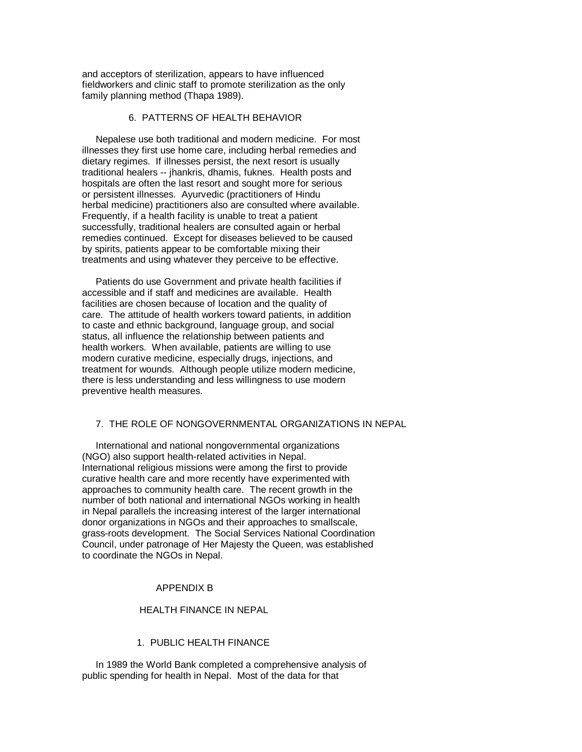and acceptors of sterilization, appears to have influenced fieldworkers and clinic staff to promote sterilization as the only family planning method (Thapa 1989).

# 6. PATTERNS OF HEALTH BEHAVIOR

 Nepalese use both traditional and modern medicine. For most illnesses they first use home care, including herbal remedies and dietary regimes. If illnesses persist, the next resort is usually traditional healers -- jhankris, dhamis, fuknes. Health posts and hospitals are often the last resort and sought more for serious or persistent illnesses. Ayurvedic (practitioners of Hindu herbal medicine) practitioners also are consulted where available. Frequently, if a health facility is unable to treat a patient successfully, traditional healers are consulted again or herbal remedies continued. Except for diseases believed to be caused by spirits, patients appear to be comfortable mixing their treatments and using whatever they perceive to be effective.

 Patients do use Government and private health facilities if accessible and if staff and medicines are available. Health facilities are chosen because of location and the quality of care. The attitude of health workers toward patients, in addition to caste and ethnic background, language group, and social status, all influence the relationship between patients and health workers. When available, patients are willing to use modern curative medicine, especially drugs, injections, and treatment for wounds. Although people utilize modern medicine, there is less understanding and less willingness to use modern preventive health measures.

# 7. THE ROLE OF NONGOVERNMENTAL ORGANIZATIONS IN NEPAL

 International and national nongovernmental organizations (NGO) also support health-related activities in Nepal. International religious missions were among the first to provide curative health care and more recently have experimented with approaches to community health care. The recent growth in the number of both national and international NGOs working in health in Nepal parallels the increasing interest of the larger international donor organizations in NGOs and their approaches to smallscale, grass-roots development. The Social Services National Coordination Council, under patronage of Her Majesty the Queen, was established to coordinate the NGOs in Nepal.

#### APPENDIX B

#### HEALTH FINANCE IN NEPAL

# 1. PUBLIC HEALTH FINANCE

 In 1989 the World Bank completed a comprehensive analysis of public spending for health in Nepal. Most of the data for that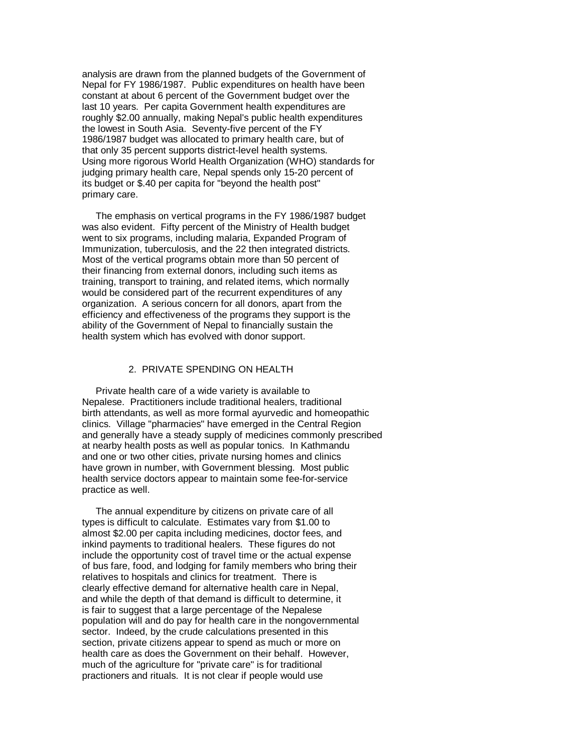analysis are drawn from the planned budgets of the Government of Nepal for FY 1986/1987. Public expenditures on health have been constant at about 6 percent of the Government budget over the last 10 years. Per capita Government health expenditures are roughly \$2.00 annually, making Nepal's public health expenditures the lowest in South Asia. Seventy-five percent of the FY 1986/1987 budget was allocated to primary health care, but of that only 35 percent supports district-level health systems. Using more rigorous World Health Organization (WHO) standards for judging primary health care, Nepal spends only 15-20 percent of its budget or \$.40 per capita for "beyond the health post" primary care.

 The emphasis on vertical programs in the FY 1986/1987 budget was also evident. Fifty percent of the Ministry of Health budget went to six programs, including malaria, Expanded Program of Immunization, tuberculosis, and the 22 then integrated districts. Most of the vertical programs obtain more than 50 percent of their financing from external donors, including such items as training, transport to training, and related items, which normally would be considered part of the recurrent expenditures of any organization. A serious concern for all donors, apart from the efficiency and effectiveness of the programs they support is the ability of the Government of Nepal to financially sustain the health system which has evolved with donor support.

### 2. PRIVATE SPENDING ON HEALTH

 Private health care of a wide variety is available to Nepalese. Practitioners include traditional healers, traditional birth attendants, as well as more formal ayurvedic and homeopathic clinics. Village "pharmacies" have emerged in the Central Region and generally have a steady supply of medicines commonly prescribed at nearby health posts as well as popular tonics. In Kathmandu and one or two other cities, private nursing homes and clinics have grown in number, with Government blessing. Most public health service doctors appear to maintain some fee-for-service practice as well.

 The annual expenditure by citizens on private care of all types is difficult to calculate. Estimates vary from \$1.00 to almost \$2.00 per capita including medicines, doctor fees, and inkind payments to traditional healers. These figures do not include the opportunity cost of travel time or the actual expense of bus fare, food, and lodging for family members who bring their relatives to hospitals and clinics for treatment. There is clearly effective demand for alternative health care in Nepal, and while the depth of that demand is difficult to determine, it is fair to suggest that a large percentage of the Nepalese population will and do pay for health care in the nongovernmental sector. Indeed, by the crude calculations presented in this section, private citizens appear to spend as much or more on health care as does the Government on their behalf. However, much of the agriculture for "private care" is for traditional practioners and rituals. It is not clear if people would use